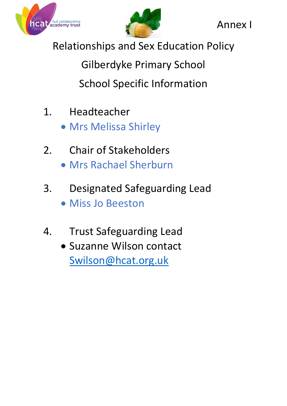



Annex I

Relationships and Sex Education Policy

Gilberdyke Primary School School Specific Information

- 1. Headteacher
	- Mrs Melissa Shirley
- 2. Chair of Stakeholders
	- Mrs Rachael Sherburn
- 3. Designated Safeguarding Lead Miss Jo Beeston
- 4. Trust Safeguarding Lead
	- Suzanne Wilson contact [Swilson@hcat.org.uk](mailto:Swilson@hcat.org.uk)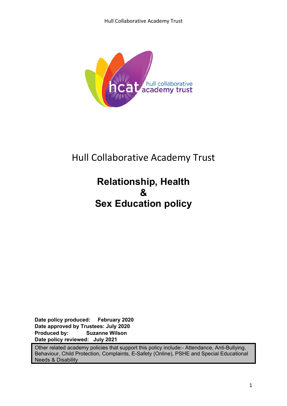

# Hull Collaborative Academy Trust

# **Relationship, Health & Sex Education policy**

**Date policy produced: February 2020 Date approved by Trustees: July 2020 Produced by: Suzanne Wilson Date policy reviewed: July 2021** 

Other related academy policies that support this policy include:- Attendance, Anti-Bullying, Behaviour, Child Protection, Complaints, E-Safety (Online), PSHE and Special Educational Needs & Disability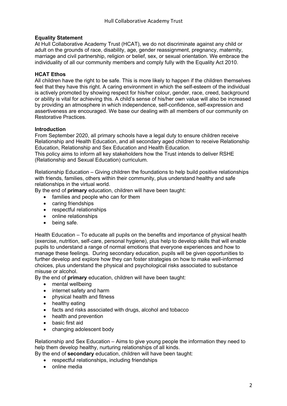#### **Equality Statement**

At Hull Collaborative Academy Trust (HCAT), we do not discriminate against any child or adult on the grounds of race, disability, age, gender reassignment, pregnancy, maternity, marriage and civil partnership, religion or belief, sex, or sexual orientation. We embrace the individuality of all our community members and comply fully with the Equality Act 2010.

#### **HCAT Ethos**

All children have the right to be safe. This is more likely to happen if the children themselves feel that they have this right. A caring environment in which the self-esteem of the individual is actively promoted by showing respect for his/her colour, gender, race, creed, background or ability is vital for achieving this. A child's sense of his/her own value will also be increased by providing an atmosphere in which independence, self-confidence, self-expression and assertiveness are encouraged. We base our dealing with all members of our community on Restorative Practices.

#### **Introduction**

From September 2020, all primary schools have a legal duty to ensure children receive Relationship and Health Education, and all secondary aged children to receive Relationship Education, Relationship and Sex Education and Health Education.

This policy aims to inform all key stakeholders how the Trust intends to deliver RSHE (Relationship and Sexual Education) curriculum.

Relationship Education – Giving children the foundations to help build positive relationships with friends, families, others within their community, plus understand healthy and safe relationships in the virtual world.

By the end of **primary** education, children will have been taught:

- families and people who can for them
- caring friendships
- respectful relationships
- online relationships
- being safe.

Health Education – To educate all pupils on the benefits and importance of physical health (exercise, nutrition, self-care, personal hygiene), plus help to develop skills that will enable pupils to understand a range of normal emotions that everyone experiences and how to manage these feelings. During secondary education, pupils will be given opportunities to further develop and explore how they can foster strategies on how to make well-informed choices, plus understand the physical and psychological risks associated to substance misuse or alcohol.

By the end of **primary** education, children will have been taught:

- mental wellbeing
- internet safety and harm
- physical health and fitness
- healthy eating
- facts and risks associated with drugs, alcohol and tobacco
- health and prevention
- basic first aid
- changing adolescent body

Relationship and Sex Education – Aims to give young people the information they need to help them develop healthy, nurturing relationships of all kinds.

By the end of **secondary** education, children will have been taught:

- respectful relationships, including friendships
- online media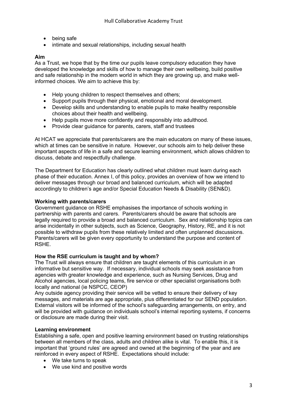- being safe
- intimate and sexual relationships, including sexual health

#### **Aim**

As a Trust, we hope that by the time our pupils leave compulsory education they have developed the knowledge and skills of how to manage their own wellbeing, build positive and safe relationship in the modern world in which they are growing up, and make wellinformed choices. We aim to achieve this by:

- Help young children to respect themselves and others;
- Support pupils through their physical, emotional and moral development.
- Develop skills and understanding to enable pupils to make healthy responsible choices about their health and wellbeing.
- Help pupils move more confidently and responsibly into adulthood.
- Provide clear guidance for parents, carers, staff and trustees

At HCAT we appreciate that parents/carers are the main educators on many of these issues, which at times can be sensitive in nature. However, our schools aim to help deliver these important aspects of life in a safe and secure learning environment, which allows children to discuss, debate and respectfully challenge.

The Department for Education has clearly outlined what children must learn during each phase of their education. Annex I, of this policy, provides an overview of how we intend to deliver messages through our broad and balanced curriculum, which will be adapted accordingly to children's age and/or Special Education Needs & Disability (SEN&D).

#### **Working with parents/carers**

Government guidance on RSHE emphasises the importance of schools working in partnership with parents and carers. Parents/carers should be aware that schools are legally required to provide a broad and balanced curriculum. Sex and relationship topics can arise incidentally in other subjects, such as Science, Geography, History, RE, and it is not possible to withdraw pupils from these relatively limited and often unplanned discussions. Parents/carers will be given every opportunity to understand the purpose and content of RSHE.

#### **How the RSE curriculum is taught and by whom?**

The Trust will always ensure that children are taught elements of this curriculum in an informative but sensitive way. If necessary, individual schools may seek assistance from agencies with greater knowledge and experience, such as Nursing Services, Drug and Alcohol agencies, local policing teams, fire service or other specialist organisations both locally and national (ie NSPCC, CEOP)

Any outside agency providing their service will be vetted to ensure their delivery of key messages, and materials are age appropriate, plus differentiated for our SEND population. External visitors will be informed of the school's safeguarding arrangements, on entry, and will be provided with guidance on individuals school's internal reporting systems, if concerns or disclosure are made during their visit.

#### **Learning environment**

Establishing a safe, open and positive learning environment based on trusting relationships between all members of the class, adults and children alike is vital. To enable this, it is important that 'ground rules' are agreed and owned at the beginning of the year and are reinforced in every aspect of RSHE. Expectations should include:

- We take turns to speak
- We use kind and positive words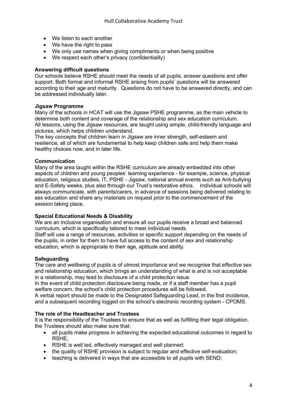- We listen to each another
- We have the right to pass
- We only use names when giving compliments or when being positive
- We respect each other's privacy (confidentiality)

#### **Answering difficult questions**

Our schools believe RSHE should meet the needs of all pupils, answer questions and offer support. Both formal and informal RSHE arising from pupils' questions will be answered according to their age and maturity. Questions do not have to be answered directly, and can be addressed individually later.

#### **Jigsaw Programme**

Many of the schools in HCAT will use the Jigsaw PSHE programme, as the main vehicle to determine both content and coverage of the relationship and sex education curriculum. All lessons, using the Jigsaw resources, are taught using simple, child-friendly language and pictures, which helps children understand.

The key concepts that children learn in Jigsaw are inner strength, self-esteem and resilience, all of which are fundamental to help keep children safe and help them make healthy choices now, and in later life.

#### **Communication**

Many of the area taught within the RSHE curriculum are already embedded into other aspects of children and young peoples' learning experience - for example, science, physical education, religious studies, IT, PSHE - Jigsaw, national annual events such as Anti-bullying and E-Safety weeks, plus also through our Trust's restorative ethos. Individual schools will always communicate, with parents/carers, in advance of sessions being delivered relating to sex education and share any materials on request prior to the commencement of the session taking place.

#### **Special Educational Needs & Disability**

We are an inclusive organisation and ensure all our pupils receive a broad and balanced curriculum, which is specifically tailored to meet individual needs.

Staff will use a range of resources, activities or specific support depending on the needs of the pupils, in order for them to have full access to the content of sex and relationship education, which is appropriate to their age, aptitude and ability.

#### **Safeguarding**

The care and wellbeing of pupils is of utmost importance and we recognise that effective sex and relationship education, which brings an understanding of what is and is not acceptable in a relationship, may lead to disclosure of a child protection issue.

In the event of child protection disclosure being made, or if a staff member has a pupil welfare concern, the school's child protection procedures will be followed.

A verbal report should be made to the Designated Safeguarding Lead, in the first incidence, and a subsequent recording logged on the school's electronic recording system - CPOMS.

#### **The role of the Headteacher and Trustees**

It is the responsibility of the Trustees to ensure that as well as fulfilling their legal obligation, the Trustees should also make sure that:

- all pupils make progress in achieving the expected educational outcomes in regard to RSHE;
- RSHE is well led, effectively managed and well planned;
- the quality of RSHE provision is subject to regular and effective self-evaluation;
- teaching is delivered in ways that are accessible to all pupils with SEND;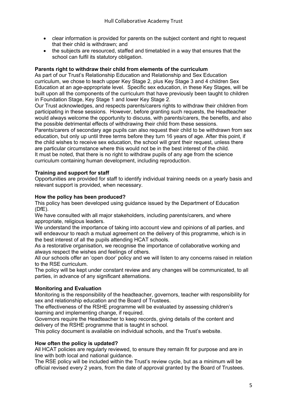- clear information is provided for parents on the subject content and right to request that their child is withdrawn; and
- the subjects are resourced, staffed and timetabled in a way that ensures that the school can fulfil its statutory obligation.

#### **Parents right to withdraw their child from elements of the curriculum**

As part of our Trust's Relationship Education and Relationship and Sex Education curriculum, we chose to teach upper Key Stage 2, plus Key Stage 3 and 4 children Sex Education at an age-appropriate level. Specific sex education, in these Key Stages, will be built upon all the components of the curriculum that have previously been taught to children in Foundation Stage, Key Stage 1 and lower Key Stage 2.

Our Trust acknowledges, and respects parents/carers rights to withdraw their children from participating in these sessions. However, before granting such requests, the Headteacher would always welcome the opportunity to discuss, with parents/carers, the benefits, and also the possible detrimental effects of withdrawing their child from these sessions.

Parents/carers of secondary age pupils can also request their child to be withdrawn from sex education, but only up until three terms before they turn 16 years of age. After this point, if the child wishes to receive sex education, the school will grant their request, unless there are particular circumstance where this would not be in the best interest of the child. It must be noted, that there is no right to withdraw pupils of any age from the science curriculum containing human development, including reproduction.

#### **Training and support for staff**

Opportunities are provided for staff to identify individual training needs on a yearly basis and relevant support is provided, when necessary.

#### **How the policy has been produced?**

This policy has been developed using guidance issued by the Department of Education (DfE).

We have consulted with all major stakeholders, including parents/carers, and where appropriate, religious leaders.

We understand the importance of taking into account view and opinions of all parties, and will endeavour to reach a mutual agreement on the delivery of this programme, which is in the best interest of all the pupils attending HCAT schools.

As a restorative organisation, we recognise the importance of collaborative working and always respect the wishes and feelings of others.

All our schools offer an 'open door' policy and we will listen to any concerns raised in relation to the RSE curriculum.

The policy will be kept under constant review and any changes will be communicated, to all parties, in advance of any significant alternations.

#### **Monitoring and Evaluation**

Monitoring is the responsibility of the headteacher, governors, teacher with responsibility for sex and relationship education and the Board of Trustees.

The effectiveness of the RSHE programme will be evaluated by assessing children's learning and implementing change, if required.

Governors require the Headteacher to keep records, giving details of the content and delivery of the RSHE programme that is taught in school.

This policy document is available on individual schools, and the Trust's website.

#### **How often the policy is updated?**

All HCAT policies are regularly reviewed, to ensure they remain fit for purpose and are in line with both local and national guidance.

The RSE policy will be included within the Trust's review cycle, but as a minimum will be official revised every 2 years, from the date of approval granted by the Board of Trustees.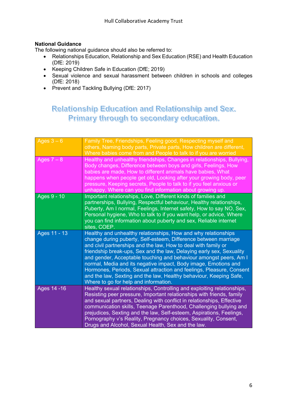#### **National Guidance**

The following national guidance should also be referred to:

- Relationships Education, Relationship and Sex Education (RSE) and Health Education (DfE: 2019)
- Keeping Children Safe in Education (DfE; 2019)
- Sexual violence and sexual harassment between children in schools and colleges (DfE: 2018)
- Prevent and Tackling Bullying (DfE: 2017)

## Relationship Education and Relationship and Sex. Primary through to secondary education.

| Ages $3 - 6$ | Family Tree, Friendships, Feeling good, Respecting myself and<br>others, Naming body parts, Private parts, How children are different,<br>Where babies come from and People to talk to if you are worried                                                                                                                                                                                                                                                                                                                                                                                                  |
|--------------|------------------------------------------------------------------------------------------------------------------------------------------------------------------------------------------------------------------------------------------------------------------------------------------------------------------------------------------------------------------------------------------------------------------------------------------------------------------------------------------------------------------------------------------------------------------------------------------------------------|
| Ages $7 - 8$ | Healthy and unhealthy friendships, Changes in relationships, Bullying,<br>Body changes, Difference between boys and girls, Feelings, How<br>babies are made, How to different animals have babies, What<br>happens when people get old, Looking after your growing body, peer<br>pressure, Keeping secrets, People to talk to if you feel anxious or<br>unhappy, Where can you find information about growing up.                                                                                                                                                                                          |
| Ages 9 - 10  | Important relationships, Love, Different kinds of families and<br>partnerships, Bullying, Respectful behaviour, Healthy relationships,<br>Puberty, Am I normal, Feelings, Internet safety, How to say NO, Sex,<br>Personal hygiene, Who to talk to if you want help, or advice, Where<br>you can find information about puberty and sex, Reliable internet<br>sites, COEP.                                                                                                                                                                                                                                 |
| Ages 11 - 13 | Healthy and unhealthy relationships, How and why relationships<br>change during puberty, Self-esteem, Difference between marriage<br>and civil partnerships and the law, How to deal with family or<br>friendship break-ups, Sex and the law, Delaying early sex, Sexuality<br>and gender, Acceptable touching and behaviour amongst peers, Am I<br>normal, Media and its negative impact, Body image, Emotions and<br>Hormones, Periods, Sexual attraction and feelings, Pleasure, Consent<br>and the law, Sexting and the law, Healthy behaviour, Keeping Safe,<br>Where to go for help and information. |
| Ages 14 - 16 | Healthy sexual relationships, Controlling and exploiting relationships,<br>Resisting peer pressure, Important relationships with friends, family<br>and sexual partners, Dealing with conflict in relationships, Effective<br>communication skills, Teenage Parenthood, Challenging bullying and<br>prejudices, Sexting and the law, Self-esteem, Aspirations, Feelings,<br>Pornography v's Reality, Pregnancy choices, Sexuality, Consent,<br>Drugs and Alcohol, Sexual Health, Sex and the law.                                                                                                          |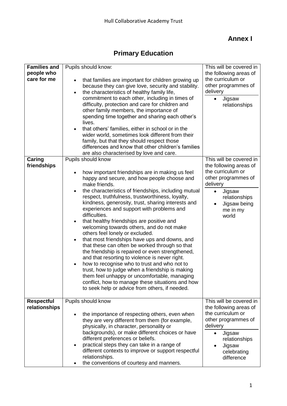### **Annex I**

## **Primary Education**

| <b>Families and</b><br>people who<br>care for me | Pupils should know:<br>that families are important for children growing up<br>because they can give love, security and stability.<br>the characteristics of healthy family life,<br>$\bullet$<br>commitment to each other, including in times of<br>difficulty, protection and care for children and<br>other family members, the importance of<br>spending time together and sharing each other's<br>lives.<br>that others' families, either in school or in the<br>wider world, sometimes look different from their<br>family, but that they should respect those<br>differences and know that other children's families<br>are also characterised by love and care.                                                                                                                                                                                                                                                                                                                                           | This will be covered in<br>the following areas of<br>the curriculum or<br>other programmes of<br>delivery<br>Jigsaw<br>relationships                                                                |
|--------------------------------------------------|------------------------------------------------------------------------------------------------------------------------------------------------------------------------------------------------------------------------------------------------------------------------------------------------------------------------------------------------------------------------------------------------------------------------------------------------------------------------------------------------------------------------------------------------------------------------------------------------------------------------------------------------------------------------------------------------------------------------------------------------------------------------------------------------------------------------------------------------------------------------------------------------------------------------------------------------------------------------------------------------------------------|-----------------------------------------------------------------------------------------------------------------------------------------------------------------------------------------------------|
| Caring<br>friendships                            | Pupils should know<br>how important friendships are in making us feel<br>٠<br>happy and secure, and how people choose and<br>make friends.<br>the characteristics of friendships, including mutual<br>$\bullet$<br>respect, truthfulness, trustworthiness, loyalty,<br>kindness, generosity, trust, sharing interests and<br>experiences and support with problems and<br>difficulties.<br>that healthy friendships are positive and<br>$\bullet$<br>welcoming towards others, and do not make<br>others feel lonely or excluded.<br>that most friendships have ups and downs, and<br>$\bullet$<br>that these can often be worked through so that<br>the friendship is repaired or even strengthened,<br>and that resorting to violence is never right.<br>how to recognise who to trust and who not to<br>trust, how to judge when a friendship is making<br>them feel unhappy or uncomfortable, managing<br>conflict, how to manage these situations and how<br>to seek help or advice from others, if needed. | This will be covered in<br>the following areas of<br>the curriculum or<br>other programmes of<br>delivery<br>Jigsaw<br>$\bullet$<br>relationships<br>Jigsaw being<br>$\bullet$<br>me in my<br>world |
| <b>Respectful</b><br>relationships               | Pupils should know<br>the importance of respecting others, even when<br>they are very different from them (for example,<br>physically, in character, personality or<br>backgrounds), or make different choices or have<br>different preferences or beliefs.<br>practical steps they can take in a range of<br>different contexts to improve or support respectful<br>relationships.<br>the conventions of courtesy and manners.                                                                                                                                                                                                                                                                                                                                                                                                                                                                                                                                                                                  | This will be covered in<br>the following areas of<br>the curriculum or<br>other programmes of<br>delivery<br>Jigsaw<br>$\bullet$<br>relationships<br>Jigsaw<br>celebrating<br>difference            |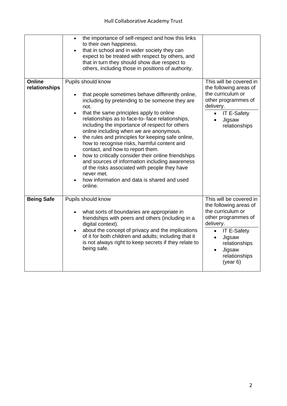|                         | the importance of self-respect and how this links<br>$\bullet$<br>to their own happiness.<br>that in school and in wider society they can<br>$\bullet$<br>expect to be treated with respect by others, and<br>that in turn they should show due respect to<br>others, including those in positions of authority.                                                                                                                                                                                                                                                                                                                                                                                                                                           |                                                                                                                                                                                                                                           |
|-------------------------|------------------------------------------------------------------------------------------------------------------------------------------------------------------------------------------------------------------------------------------------------------------------------------------------------------------------------------------------------------------------------------------------------------------------------------------------------------------------------------------------------------------------------------------------------------------------------------------------------------------------------------------------------------------------------------------------------------------------------------------------------------|-------------------------------------------------------------------------------------------------------------------------------------------------------------------------------------------------------------------------------------------|
| Online<br>relationships | Pupils should know<br>that people sometimes behave differently online,<br>$\bullet$<br>including by pretending to be someone they are<br>not.<br>that the same principles apply to online<br>$\bullet$<br>relationships as to face-to-face relationships,<br>including the importance of respect for others<br>online including when we are anonymous.<br>the rules and principles for keeping safe online,<br>$\bullet$<br>how to recognise risks, harmful content and<br>contact, and how to report them.<br>how to critically consider their online friendships<br>$\bullet$<br>and sources of information including awareness<br>of the risks associated with people they have<br>never met.<br>how information and data is shared and used<br>online. | This will be covered in<br>the following areas of<br>the curriculum or<br>other programmes of<br>delivery.<br><b>IT E-Safety</b><br>$\bullet$<br>Jigsaw<br>$\bullet$<br>relationships                                                     |
| <b>Being Safe</b>       | Pupils should know<br>what sorts of boundaries are appropriate in<br>friendships with peers and others (including in a<br>digital context).<br>about the concept of privacy and the implications<br>of it for both children and adults; including that it<br>is not always right to keep secrets if they relate to<br>being safe.                                                                                                                                                                                                                                                                                                                                                                                                                          | This will be covered in<br>the following areas of<br>the curriculum or<br>other programmes of<br>delivery.<br><b>IT E-Safety</b><br>$\bullet$<br>Jigsaw<br>$\bullet$<br>relationships<br>Jigsaw<br>$\bullet$<br>relationships<br>(year 6) |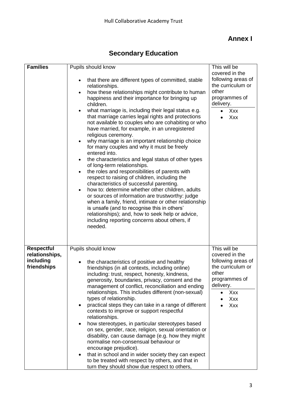### **Annex I**

## **Secondary Education**

| <b>Families</b>                                                 | Pupils should know<br>that there are different types of committed, stable<br>$\bullet$<br>relationships.<br>how these relationships might contribute to human<br>$\bullet$<br>happiness and their importance for bringing up<br>children.<br>what marriage is, including their legal status e.g.<br>$\bullet$<br>that marriage carries legal rights and protections                                                                                                                                                                                                                                                                                                                                                                                                                                                                                                                                                 | This will be<br>covered in the<br>following areas of<br>the curriculum or<br>other<br>programmes of<br>delivery.<br>Xxx<br>Xxx        |
|-----------------------------------------------------------------|---------------------------------------------------------------------------------------------------------------------------------------------------------------------------------------------------------------------------------------------------------------------------------------------------------------------------------------------------------------------------------------------------------------------------------------------------------------------------------------------------------------------------------------------------------------------------------------------------------------------------------------------------------------------------------------------------------------------------------------------------------------------------------------------------------------------------------------------------------------------------------------------------------------------|---------------------------------------------------------------------------------------------------------------------------------------|
|                                                                 | not available to couples who are cohabiting or who<br>have married, for example, in an unregistered<br>religious ceremony.<br>why marriage is an important relationship choice<br>for many couples and why it must be freely<br>entered into.<br>the characteristics and legal status of other types<br>$\bullet$<br>of long-term relationships.<br>the roles and responsibilities of parents with<br>$\bullet$<br>respect to raising of children, including the<br>characteristics of successful parenting.<br>how to: determine whether other children, adults<br>$\bullet$<br>or sources of information are trustworthy: judge<br>when a family, friend, intimate or other relationship<br>is unsafe (and to recognise this in others'<br>relationships); and, how to seek help or advice,<br>including reporting concerns about others, if<br>needed.                                                           |                                                                                                                                       |
| <b>Respectful</b><br>relationships,<br>including<br>friendships | Pupils should know<br>the characteristics of positive and healthy<br>٠<br>friendships (in all contexts, including online)<br>including: trust, respect, honesty, kindness,<br>generosity, boundaries, privacy, consent and the<br>management of conflict, reconciliation and ending<br>relationships. This includes different (non-sexual)<br>types of relationship.<br>practical steps they can take in a range of different<br>٠<br>contexts to improve or support respectful<br>relationships.<br>how stereotypes, in particular stereotypes based<br>٠<br>on sex, gender, race, religion, sexual orientation or<br>disability, can cause damage (e.g. how they might<br>normalise non-consensual behaviour or<br>encourage prejudice).<br>that in school and in wider society they can expect<br>$\bullet$<br>to be treated with respect by others, and that in<br>turn they should show due respect to others, | This will be<br>covered in the<br>following areas of<br>the curriculum or<br>other<br>programmes of<br>delivery.<br>Xxx<br>Xxx<br>Xxx |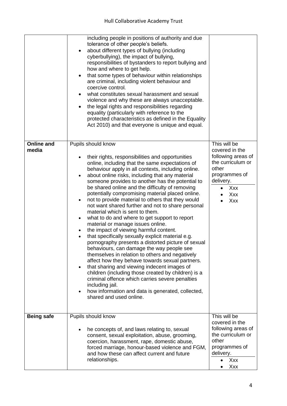|                            | including people in positions of authority and due<br>tolerance of other people's beliefs.<br>about different types of bullying (including<br>cyberbullying), the impact of bullying,<br>responsibilities of bystanders to report bullying and<br>how and where to get help.<br>that some types of behaviour within relationships<br>$\bullet$<br>are criminal, including violent behaviour and<br>coercive control.<br>what constitutes sexual harassment and sexual<br>violence and why these are always unacceptable.<br>the legal rights and responsibilities regarding<br>$\bullet$<br>equality (particularly with reference to the<br>protected characteristics as defined in the Equality<br>Act 2010) and that everyone is unique and equal.                                                                                                                                                                                                                                                                                                                                                                                                                                                                                                                               |                                                                                                                                       |
|----------------------------|------------------------------------------------------------------------------------------------------------------------------------------------------------------------------------------------------------------------------------------------------------------------------------------------------------------------------------------------------------------------------------------------------------------------------------------------------------------------------------------------------------------------------------------------------------------------------------------------------------------------------------------------------------------------------------------------------------------------------------------------------------------------------------------------------------------------------------------------------------------------------------------------------------------------------------------------------------------------------------------------------------------------------------------------------------------------------------------------------------------------------------------------------------------------------------------------------------------------------------------------------------------------------------|---------------------------------------------------------------------------------------------------------------------------------------|
| <b>Online and</b><br>media | Pupils should know<br>their rights, responsibilities and opportunities<br>online, including that the same expectations of<br>behaviour apply in all contexts, including online.<br>about online risks, including that any material<br>$\bullet$<br>someone provides to another has the potential to<br>be shared online and the difficulty of removing<br>potentially compromising material placed online.<br>not to provide material to others that they would<br>$\bullet$<br>not want shared further and not to share personal<br>material which is sent to them.<br>what to do and where to get support to report<br>$\bullet$<br>material or manage issues online.<br>the impact of viewing harmful content.<br>$\bullet$<br>that specifically sexually explicit material e.g.<br>$\bullet$<br>pornography presents a distorted picture of sexual<br>behaviours, can damage the way people see<br>themselves in relation to others and negatively<br>affect how they behave towards sexual partners.<br>that sharing and viewing indecent images of<br>$\bullet$<br>children (including those created by children) is a<br>criminal offence which carries severe penalties<br>including jail.<br>how information and data is generated, collected,<br>shared and used online. | This will be<br>covered in the<br>following areas of<br>the curriculum or<br>other<br>programmes of<br>delivery.<br>Xxx<br>Xxx<br>Xxx |
| <b>Being safe</b>          | Pupils should know<br>he concepts of, and laws relating to, sexual<br>consent, sexual exploitation, abuse, grooming,<br>coercion, harassment, rape, domestic abuse,<br>forced marriage, honour-based violence and FGM,<br>and how these can affect current and future<br>relationships.                                                                                                                                                                                                                                                                                                                                                                                                                                                                                                                                                                                                                                                                                                                                                                                                                                                                                                                                                                                            | This will be<br>covered in the<br>following areas of<br>the curriculum or<br>other<br>programmes of<br>delivery.<br>Xxx<br>Xxx        |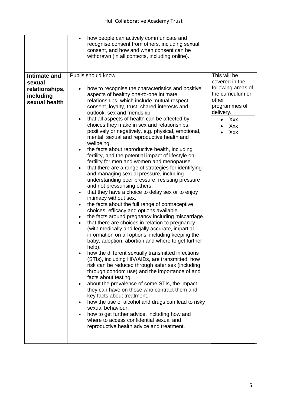|                                                                        | how people can actively communicate and<br>recognise consent from others, including sexual<br>consent, and how and when consent can be<br>withdrawn (in all contexts, including online).                                                                                                                                                                                                                                                                                                                                                                                                                                                                                                                                                                                                                                                                                                                                                                                                                                                                                                                                                                                                                                                                                                                                                                                                                                                                                                                                                                                                                                                                                                                                                                                                                                                                                                                     |                                                                                                                                                    |
|------------------------------------------------------------------------|--------------------------------------------------------------------------------------------------------------------------------------------------------------------------------------------------------------------------------------------------------------------------------------------------------------------------------------------------------------------------------------------------------------------------------------------------------------------------------------------------------------------------------------------------------------------------------------------------------------------------------------------------------------------------------------------------------------------------------------------------------------------------------------------------------------------------------------------------------------------------------------------------------------------------------------------------------------------------------------------------------------------------------------------------------------------------------------------------------------------------------------------------------------------------------------------------------------------------------------------------------------------------------------------------------------------------------------------------------------------------------------------------------------------------------------------------------------------------------------------------------------------------------------------------------------------------------------------------------------------------------------------------------------------------------------------------------------------------------------------------------------------------------------------------------------------------------------------------------------------------------------------------------------|----------------------------------------------------------------------------------------------------------------------------------------------------|
| Intimate and<br>sexual<br>relationships,<br>including<br>sexual health | Pupils should know<br>how to recognise the characteristics and positive<br>aspects of healthy one-to-one intimate<br>relationships, which include mutual respect,<br>consent, loyalty, trust, shared interests and<br>outlook, sex and friendship.<br>that all aspects of health can be affected by<br>$\bullet$<br>choices they make in sex and relationships,<br>positively or negatively, e.g. physical, emotional,<br>mental, sexual and reproductive health and<br>wellbeing.<br>the facts about reproductive health, including<br>fertility, and the potential impact of lifestyle on<br>fertility for men and women and menopause.<br>that there are a range of strategies for identifying<br>$\bullet$<br>and managing sexual pressure, including<br>understanding peer pressure, resisting pressure<br>and not pressurising others.<br>that they have a choice to delay sex or to enjoy<br>intimacy without sex.<br>the facts about the full range of contraceptive<br>choices, efficacy and options available.<br>the facts around pregnancy including miscarriage.<br>$\bullet$<br>that there are choices in relation to pregnancy<br>(with medically and legally accurate, impartial<br>information on all options, including keeping the<br>baby, adoption, abortion and where to get further<br>help).<br>how the different sexually transmitted infections<br>(STIs), including HIV/AIDs, are transmitted, how<br>risk can be reduced through safer sex (including<br>through condom use) and the importance of and<br>facts about testing.<br>about the prevalence of some STIs, the impact<br>they can have on those who contract them and<br>key facts about treatment.<br>how the use of alcohol and drugs can lead to risky<br>sexual behaviour.<br>how to get further advice, including how and<br>where to access confidential sexual and<br>reproductive health advice and treatment. | This will be<br>covered in the<br>following areas of<br>the curriculum or<br>other<br>programmes of<br>delivery.<br>Xxx<br>$\bullet$<br>Xxx<br>Xxx |